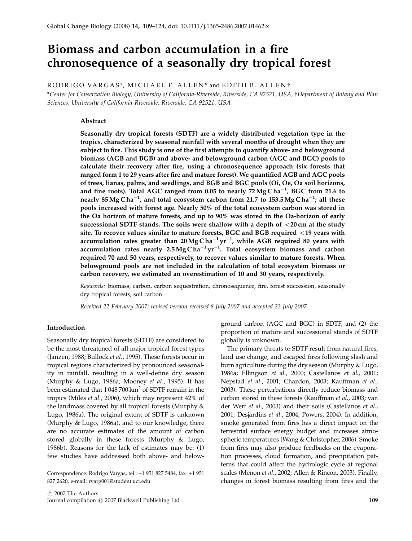# Biomass and carbon accumulation in a fire chronosequence of a seasonally dry tropical forest

RODRIGO VARGAS\*, MICHAEL F. ALLEN\* and EDITH B. ALLEN†

\*Center for Conservation Biology, University of California-Riverside, Riverside, CA 92521, USA, †Department of Botany and Plan Sciences, University of California-Riverside, Riverside, CA 92521, USA

# Abstract

Seasonally dry tropical forests (SDTF) are a widely distributed vegetation type in the tropics, characterized by seasonal rainfall with several months of drought when they are subject to fire. This study is one of the first attempts to quantify above- and belowground biomass (AGB and BGB) and above- and belowground carbon (AGC and BGC) pools to calculate their recovery after fire, using a chronosequence approach (six forests that ranged form 1 to 29 years after fire and mature forest). We quantified AGB and AGC pools of trees, lianas, palms, and seedlings, and BGB and BGC pools (Oi, Oe, Oa soil horizons, and fine roots). Total AGC ranged from 0.05 to nearly 72 MgCha $^{-1}$ , BGC from 21.6 to nearly 85 Mg Cha $^{-1}$ , and total ecosystem carbon from 21.7 to 153.5 Mg Cha $^{-1}$ ; all these pools increased with forest age. Nearly 50% of the total ecosystem carbon was stored in the Oa horizon of mature forests, and up to 90% was stored in the Oa-horizon of early successional SDTF stands. The soils were shallow with a depth of  $<$  20 cm at the study site. To recover values similar to mature forests, BGC and BGB required  $<$  19 years with accumulation rates greater than 20Mg ${\rm Cha^{-1}yr^{-1}}$ , while AGB required 80 years with accumulation rates nearly 2.5Mg $C$ ha $^{-1}$ yr $^{-1}$ . Total ecosystem biomass and carbon required 70 and 50 years, respectively, to recover values similar to mature forests. When belowground pools are not included in the calculation of total ecosystem biomass or carbon recovery, we estimated an overestimation of 10 and 30 years, respectively.

Keywords: biomass, carbon, carbon sequestration, chronosequence, fire, forest succession, seasonally dry tropical forests, soil carbon

Received 22 February 2007; revised version received 8 July 2007 and accepted 23 July 2007

#### Introduction

Seasonally dry tropical forests (SDTF) are considered to be the most threatened of all major tropical forest types (Janzen, 1988; Bullock et al., 1995). These forests occur in tropical regions characterized by pronounced seasonality in rainfall, resulting in a well-define dry season (Murphy & Lugo, 1986a; Mooney et al., 1995). It has been estimated that  $1048700 \mathrm{km}^2$  of SDTF remain in the tropics (Miles et al., 2006), which may represent 42% of the landmass covered by all tropical forests (Murphy & Lugo, 1986a). The original extent of SDTF is unknown (Murphy & Lugo, 1986a), and to our knowledge, there are no accurate estimates of the amount of carbon stored globally in these forests (Murphy & Lugo, 1986b). Reasons for the lack of estimates may be: (1) few studies have addressed both above- and below-

Correspondence: Rodrigo Vargas, tel. +1 951 827 5484, fax +1 951 827 2620, e-mail: rvarg001@student.ucr.edu

 $\odot$  2007 The Authors Journal compilation  $\odot$  2007 Blackwell Publishing Ltd 109

ground carbon (AGC and BGC) in SDTF, and (2) the proportion of mature and successional stands of SDTF globally is unknown.

The primary threats to SDTF result from natural fires, land use change, and escaped fires following slash and burn agriculture during the dry season (Murphy & Lugo, 1986a; Ellingson et al., 2000; Castellanos et al., 2001; Nepstad et al., 2001; Chazdon, 2003; Kauffman et al., 2003). These perturbations directly reduce biomass and carbon stored in these forests (Kauffman et al., 2003; van der Werf et al., 2003) and their soils (Castellanos et al., 2001; Desjardins et al., 2004; Powers, 2004). In addition, smoke generated from fires has a direct impact on the terrestrial surface energy budget and increases atmospheric temperatures (Wang & Christopher, 2006). Smoke from fires may also produce feedbacks on the evaporation processes, cloud formation, and precipitation patterns that could affect the hydrologic cycle at regional scales (Menon et al., 2002; Allen & Rincon, 2003). Finally, changes in forest biomass resulting from fires and the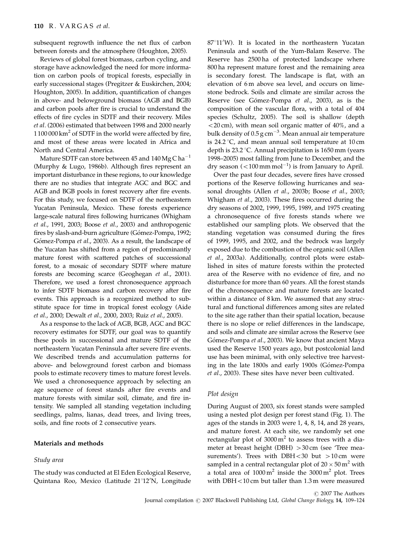subsequent regrowth influence the net flux of carbon between forests and the atmosphere (Houghton, 2005).

Reviews of global forest biomass, carbon cycling, and storage have acknowledged the need for more information on carbon pools of tropical forests, especially in early successional stages (Pregitzer & Euskirchen, 2004; Houghton, 2005). In addition, quantification of changes in above- and belowground biomass (AGB and BGB) and carbon pools after fire is crucial to understand the effects of fire cycles in SDTF and their recovery. Miles et al. (2006) estimated that between 1998 and 2000 nearly  $1100000 \mathrm{km^2}$  of SDTF in the world were affected by fire, and most of these areas were located in Africa and North and Central America.

Mature SDTF can store between 45 and  $140$  Mg C ha<sup>-1</sup> (Murphy & Lugo, 1986b). Although fires represent an important disturbance in these regions, to our knowledge there are no studies that integrate AGC and BGC and AGB and BGB pools in forest recovery after fire events. For this study, we focused on SDTF of the northeastern Yucatan Peninsula, Mexico. These forests experience large-scale natural fires following hurricanes (Whigham et al., 1991, 2003; Boose et al., 2003) and anthropogenic fires by slash-and-burn agriculture (Gómez-Pompa, 1992; Gómez-Pompa et al., 2003). As a result, the landscape of the Yucatan has shifted from a region of predominantly mature forest with scattered patches of successional forest, to a mosaic of secondary SDTF where mature forests are becoming scarce (Geoghegan et al., 2001). Therefore, we used a forest chronosequence approach to infer SDTF biomass and carbon recovery after fire events. This approach is a recognized method to substitute space for time in tropical forest ecology (Aide et al., 2000; Dewalt et al., 2000, 2003; Ruiz et al., 2005).

As a response to the lack of AGB, BGB, AGC and BGC recovery estimates for SDTF, our goal was to quantify these pools in successional and mature SDTF of the northeastern Yucatan Peninsula after severe fire events. We described trends and accumulation patterns for above- and belowground forest carbon and biomass pools to estimate recovery times to mature forest levels. We used a chronosequence approach by selecting an age sequence of forest stands after fire events and mature forests with similar soil, climate, and fire intensity. We sampled all standing vegetation including seedlings, palms, lianas, dead trees, and living trees, soils, and fine roots of 2 consecutive years.

# Materials and methods

#### Study area

The study was conducted at El Eden Ecological Reserve, Quintana Roo, Mexico (Latitude 21°12'N, Longitude

87°11'W). It is located in the northeastern Yucatan Peninsula and south of the Yum-Balam Reserve. The Reserve has 2500 ha of protected landscape where 800 ha represent mature forest and the remaining area is secondary forest. The landscape is flat, with an elevation of 6 m above sea level, and occurs on limestone bedrock. Soils and climate are similar across the Reserve (see Gómez-Pompa et al., 2003), as is the composition of the vascular flora, with a total of 404 species (Schultz, 2005). The soil is shallow (depth  $<$  20 cm), with mean soil organic matter of 40%, and a bulk density of 0.5 g cm $^{-3}$ . Mean annual air temperature is 24.2  $\degree$ C, and mean annual soil temperature at 10 cm depth is  $23.2$  °C. Annual precipitation is  $1650$  mm (years 1998–2005) most falling from June to December, and the dry season  $(<$  100 mm mol<sup>-1</sup>) is from January to April.

Over the past four decades, severe fires have crossed portions of the Reserve following hurricanes and seasonal droughts (Allen et al., 2003b; Boose et al., 2003; Whigham et al., 2003). These fires occurred during the dry seasons of 2002, 1999, 1995, 1989, and 1975 creating a chronosequence of five forests stands where we established our sampling plots. We observed that the standing vegetation was consumed during the fires of 1999, 1995, and 2002, and the bedrock was largely exposed due to the combustion of the organic soil (Allen et al., 2003a). Additionally, control plots were established in sites of mature forests within the protected area of the Reserve with no evidence of fire, and no disturbance for more than 60 years. All the forest stands of the chronosequence and mature forests are located within a distance of 8 km. We assumed that any structural and functional differences among sites are related to the site age rather than their spatial location, because there is no slope or relief differences in the landscape, and soils and climate are similar across the Reserve (see Gómez-Pompa et al., 2003). We know that ancient Maya used the Reserve 1500 years ago, but postcolonial land use has been minimal, with only selective tree harvesting in the late 1800s and early 1900s (Gómez-Pompa et al., 2003). These sites have never been cultivated.

#### Plot design

During August of 2003, six forest stands were sampled using a nested plot design per forest stand (Fig. 1). The ages of the stands in 2003 were 1, 4, 8, 14, and 28 years, and mature forest. At each site, we randomly set one rectangular plot of  $3000 \text{ m}^2$  to assess trees with a diameter at breast height (DBH)  $>$  30 cm (see 'Tree measurements'). Trees with DBH $<$ 30 but  $>$ 10 cm were sampled in a central rectangular plot of 20  $\times$  50 m<sup>2</sup> with a total area of  $1000 \text{ m}^2$  inside the  $3000 \text{ m}^2$  plot. Trees with  $DBH<10$  cm but taller than  $1.3$  m were measured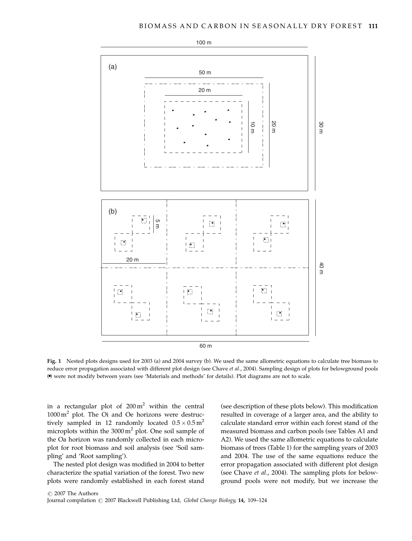

Fig. 1 Nested plots designs used for 2003 (a) and 2004 survey (b). We used the same allometric equations to calculate tree biomass to reduce error propagation associated with different plot design (see Chave et al., 2004). Sampling design of plots for belowground pools () were not modify between years (see 'Materials and methods' for details). Plot diagrams are not to scale.

in a rectangular plot of  $200 \text{ m}^2$  within the central  $1000 \text{ m}^2$  plot. The Oi and Oe horizons were destructively sampled in 12 randomly located  $0.5 \times 0.5$  m<sup>2</sup> microplots within the  $3000 \text{ m}^2$  plot. One soil sample of the Oa horizon was randomly collected in each microplot for root biomass and soil analysis (see 'Soil sampling' and 'Root sampling').

The nested plot design was modified in 2004 to better characterize the spatial variation of the forest. Two new plots were randomly established in each forest stand

(see description of these plots below). This modification resulted in coverage of a larger area, and the ability to calculate standard error within each forest stand of the measured biomass and carbon pools (see Tables A1 and A2). We used the same allometric equations to calculate biomass of trees (Table 1) for the sampling years of 2003 and 2004. The use of the same equations reduce the error propagation associated with different plot design (see Chave et al., 2004). The sampling plots for belowground pools were not modify, but we increase the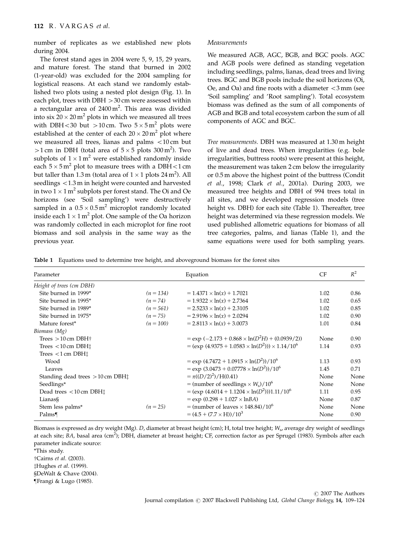number of replicates as we established new plots during 2004.

The forest stand ages in 2004 were 5, 9, 15, 29 years, and mature forest. The stand that burned in 2002 (1-year-old) was excluded for the 2004 sampling for logistical reasons. At each stand we randomly established two plots using a nested plot design (Fig. 1). In each plot, trees with  $DBH > 30$  cm were assessed within a rectangular area of 2400 $\text{m}^2$ . This area was divided into six 20  $\times$  20 m $^2$  plots in which we measured all trees with DBH $<$ 30 but  $>$ 10 cm. Two  $5 \times 5$  m<sup>2</sup> plots were established at the center of each  $20 \times 20$  m<sup>2</sup> plot where we measured all trees, lianas and palms  $<$  10 cm but  $>$ 1 cm in DBH (total area of 5  $\times$  5 plots 300 m<sup>2</sup>). Two subplots of  $1 \times 1$  m<sup>2</sup> were established randomly inside each  $5 \times 5 \,\mathrm{m}^2$  plot to measure trees with a DBH  $<$  1 cm but taller than 1.3 m (total area of  $1 \times 1$  plots 24 m<sup>2</sup>). All seedlings  $<$ 1.3 m in height were counted and harvested in two 1  $\times$  1 m<sup>2</sup> subplots per forest stand. The Oi and Oe horizons (see 'Soil sampling') were destructively sampled in a  $0.5 \times 0.5$  m<sup>2</sup> microplot randomly located inside each 1  $\times$  1 m<sup>2</sup> plot. One sample of the Oa horizon was randomly collected in each microplot for fine root biomass and soil analysis in the same way as the previous year.

#### Measurements

We measured AGB, AGC, BGB, and BGC pools. AGC and AGB pools were defined as standing vegetation including seedlings, palms, lianas, dead trees and living trees. BGC and BGB pools include the soil horizons (Oi, Oe, and Oa) and fine roots with a diameter  $\langle 3 \text{ mm}$  (see 'Soil sampling' and 'Root sampling'). Total ecosystem biomass was defined as the sum of all components of AGB and BGB and total ecosystem carbon the sum of all components of AGC and BGC.

Tree measurements. DBH was measured at 1.30 m height of live and dead trees. When irregularities (e.g. bole irregularities, buttress roots) were present at this height, the measurement was taken 2 cm below the irregularity or 0.5 m above the highest point of the buttress (Condit et al., 1998; Clark et al., 2001a). During 2003, we measured tree heights and DBH of 994 trees total in all sites, and we developed regression models (tree height vs. DBH) for each site (Table 1). Thereafter, tree height was determined via these regression models. We used published allometric equations for biomass of all tree categories, palms, and lianas (Table 1), and the same equations were used for both sampling years.

Table 1 Equations used to determine tree height, and aboveground biomass for the forest sites

| Parameter                                   |             | Equation                                                    | CF   | $R^2$ |
|---------------------------------------------|-------------|-------------------------------------------------------------|------|-------|
| Height of trees (cm DBH)                    |             |                                                             |      |       |
| Site burned in 1999*                        | $(n = 134)$ | $= 1.4371 \times ln(x) + 1.7021$                            | 1.02 | 0.86  |
| Site burned in 1995*                        | $(n = 74)$  | $= 1.9322 \times \ln(x) + 2.7364$                           | 1.02 | 0.65  |
| Site burned in 1989*                        | $(n = 561)$ | $= 2.5233 \times \ln(x) + 2.3105$                           | 1.02 | 0.85  |
| Site burned in 1975*                        | $(n = 75)$  | $= 2.9196 \times \ln(x) + 2.0294$                           | 1.02 | 0.90  |
| Mature forest*                              | $(n = 100)$ | $= 2.8113 \times \ln(x) + 3.0073$                           | 1.01 | 0.84  |
| Biomass (Mg)                                |             |                                                             |      |       |
| Trees $>10$ cm DBH $\dagger$                |             | $=$ exp $(-2.173 + 0.868 \times ln(D^2H) + (0.0939/2))$     | None | 0.90  |
| Trees $< 10$ cm DBH $\ddagger$              |             | $= (exp (4.9375 + 1.0583 \times ln(D^2))) \times 1.14/10^6$ | 1.14 | 0.93  |
| Trees $<$ 1 cm DBH $\ddagger$               |             |                                                             |      |       |
| Wood                                        |             | $=$ exp $(4.7472 + 1.0915 \times \ln(D^2))/10^6$            | 1.13 | 0.93  |
| Leaves                                      |             | $=$ exp $(3.0473 + 0.07778 \times \ln(D^2))/10^6$           | 1.45 | 0.71  |
| Standing dead trees $>10$ cm DBH $\ddagger$ |             | $=\pi((D/2)^2)/H(0.41)$                                     | None | None  |
| Seedlings*                                  |             | = (number of seedlings $\times$ $W_s$ )/10 <sup>6</sup>     | None | None  |
| Dead trees $< 10$ cm DBH $\ddagger$         |             | $= (exp (4.6014 + 1.1204 \times ln(D^2))1.11/10^6$          | 1.11 | 0.95  |
| Lianas§                                     |             | $= \exp (0.298 + 1.027 \times \ln BA)$                      | None | 0.87  |
| Stem less palms*                            | $(n = 25)$  | $=$ (number of leaves $\times$ 148.84)/10 <sup>6</sup>      | None | None  |
| Palms                                       |             | $=(4.5 + (7.7 \times H))/10^3$                              | None | 0.90  |

Biomass is expressed as dry weight (Mg). D, diameter at breast height (cm); H, total tree height; W<sub>s</sub>, average dry weight of seedlings at each site; BA, basal area (cm<sup>2</sup>); DBH, diameter at breast height; CF, correction factor as per Sprugel (1983). Symbols after each parameter indicate source:

\*This study.

†Cairns et al. (2003).

‡Hughes et al. (1999).

§DeWalt & Chave (2004).

}Frangi & Lugo (1985).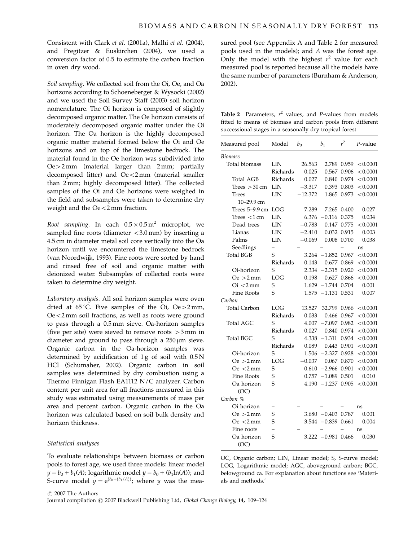Consistent with Clark et al. (2001a), Malhi et al. (2004), and Pregitzer & Euskirchen (2004), we used a conversion factor of 0.5 to estimate the carbon fraction in oven dry wood.

Soil sampling. We collected soil from the Oi, Oe, and Oa horizons according to Schoeneberger & Wysocki (2002) and we used the Soil Survey Staff (2003) soil horizon nomenclature. The Oi horizon is composed of slightly decomposed organic matter. The Oe horizon consists of moderately decomposed organic matter under the Oi horizon. The Oa horizon is the highly decomposed organic matter material formed below the Oi and Oe horizons and on top of the limestone bedrock. The material found in the Oe horizon was subdivided into  $Oe > 2$  mm (material larger than  $2$  mm; partially decomposed litter) and  $Oe<2$  mm (material smaller than 2 mm; highly decomposed litter). The collected samples of the Oi and Oe horizons were weighed in the field and subsamples were taken to determine dry weight and the  $Oe\leq 2 \text{ mm}$  fraction.

Root sampling. In each  $0.5 \times 0.5$  m<sup>2</sup> microplot, we sampled fine roots (diameter  $<$ 3.0 mm) by inserting a 4.5 cm in diameter metal soil core vertically into the Oa horizon until we encountered the limestone bedrock (van Noordwijk, 1993). Fine roots were sorted by hand and rinsed free of soil and organic matter with deionized water. Subsamples of collected roots were taken to determine dry weight.

Laboratory analysis. All soil horizon samples were oven dried at  $65^{\circ}$ C. Five samples of the Oi, Oe > 2 mm,  $Oe$ <2 mm soil fractions, as well as roots were ground to pass through a 0.5 mm sieve. Oa-horizon samples (five per site) were sieved to remove roots  $>3$  mm in diameter and ground to pass through a  $250 \,\mu m$  sieve. Organic carbon in the Oa-horizon samples was determined by acidification of  $1g$  of soil with  $0.5N$ HCl (Schumaher, 2002). Organic carbon in soil samples was determined by dry combustion using a Thermo Finnigan Flash EA1112 N/C analyzer. Carbon content per unit area for all fractions measured in this study was estimated using measurements of mass per area and percent carbon. Organic carbon in the Oa horizon was calculated based on soil bulk density and horizon thickness.

# Statistical analyses

To evaluate relationships between biomass or carbon pools to forest age, we used three models: linear model  $y = b_0 + b_1(A)$ ; logarithmic model  $y = b_0 + (b_1 \ln(A))$ ; and S-curve model  $y = e^{(b_0+(b_1/A))}$ ; where y was the measured pool (see Appendix A and Table 2 for measured pools used in the models); and A was the forest age. Only the model with the highest  $r^2$  value for each measured pool is reported because all the models have the same number of parameters (Burnham & Anderson, 2002).

**Table 2** Parameters,  $r^2$  values, and *P*-values from models fitted to means of biomass and carbon pools from different successional stages in a seasonally dry tropical forest

| Measured pool                 | Model                    | $b_0$     | b <sub>1</sub>        | $r^2$       | P-value  |
|-------------------------------|--------------------------|-----------|-----------------------|-------------|----------|
| <b>Biomass</b>                |                          |           |                       |             |          |
| Total biomass                 | LIN                      | 26.563    | 2.789                 | 0.959       | < 0.0001 |
|                               | <b>Richards</b>          | 0.025     | 0.567                 | 0.906       | < 0.0001 |
| Total AGB                     | Richards                 | 0.027     | 0.840                 | 0.974       | < 0.0001 |
| Trees $>30$ cm                | LIN                      | $-3.317$  | 0.393                 | 0.803       | < 0.0001 |
| Trees                         | LIN                      | $-12.372$ | 1.865                 | 0.973       | < 0.0001 |
| 10-29.9 cm                    |                          |           |                       |             |          |
| Trees $5-9.9$ cm              | LOG                      | 7.289     | 7.265                 | 0.400       | 0.027    |
| Trees $<$ 1 cm                | LIN                      | 6.376     | 0.116                 | 0.375       | 0.034    |
| Dead trees                    | LIN                      | $-0.783$  | 0.147                 | 0.775       | < 0.0001 |
| Lianas                        | LIN                      | $-2.410$  | 0.032                 | 0.915       | 0.003    |
| Palms                         | LIN                      | $-0.069$  | 0.008                 | 0.700       | 0.038    |
| Seedlings                     | $\overline{\phantom{0}}$ |           |                       |             | ns       |
| <b>Total BGB</b>              | S                        | 3.264     | $-1.852$              | 0.967       | < 0.0001 |
|                               | <b>Richards</b>          | 0.143     | 0.677                 | 0.869       | < 0.0001 |
| Oi-horizon                    | S                        |           | $2.334 - 2.315$       | 0.920       | < 0.0001 |
| $Qe > 2$ mm                   | LOG                      | 0.198     |                       | 0.627 0.866 | < 0.0001 |
| $\mathrm{O}i < 2 \mathrm{mm}$ | S                        | 1.629     | $-1.744$              | 0.704       | 0.001    |
| <b>Fine Roots</b>             | S                        | 1.575     | $-1.131$              | 0.531       | 0.007    |
| Carbon                        |                          |           |                       |             |          |
| Total Carbon                  | LOG                      | 13.527    | 32.799 0.966          |             | < 0.0001 |
|                               | Richards                 | 0.033     | 0.466                 | 0.967       | < 0.0001 |
| Total AGC                     | S                        | 4.007     | -7.097                | 0.982       | < 0.0001 |
|                               | Richards                 | 0.027     | 0.840                 | 0.974       | < 0.0001 |
| Total BGC                     | S                        |           | $4.338 - 1.311$       | 0.934       | < 0.0001 |
|                               | <b>Richards</b>          | 0.089     | 0.443                 | 0.901       | < 0.0001 |
| Oi-horizon                    | S                        |           | $1.506 - 2.327 0.928$ |             | < 0.0001 |
| $Qe > 2$ mm                   | LOG                      | $-0.037$  |                       | 0.067 0.870 | < 0.0001 |
| $\text{Oe} < 2 \text{mm}$     | S                        | 0.610     | $-2.966$              | 0.901       | < 0.0001 |
| Fine Roots                    | S                        |           | $0.757 - 1.089$       | 0.501       | 0.010    |
| Oa horizon                    | S                        |           | $4.190 - 1.237$       | 0.905       | < 0.0001 |
| (OC)                          |                          |           |                       |             |          |
| Carbon %                      |                          |           |                       |             |          |
| Oi horizon                    |                          |           |                       |             | ns       |
| $Oe > 2$ mm                   | S                        |           | $3.680 -0.403 0.787$  |             | 0.001    |
| $Oe < 2$ mm                   | S                        |           | $3.544 - 0.839$       | 0.661       | 0.004    |
| Fine roots                    | $\overline{\phantom{0}}$ |           |                       |             | ns       |
| Oa horizon<br>(OC)            | S                        |           | $3.222 - 0.981$       | 0.466       | 0.030    |

OC, Organic carbon; LIN, Linear model; S, S-curve model; LOG, Logarithmic model; AGC, aboveground carbon; BGC, belowground ca. For explanation about functions see 'Materials and methods.'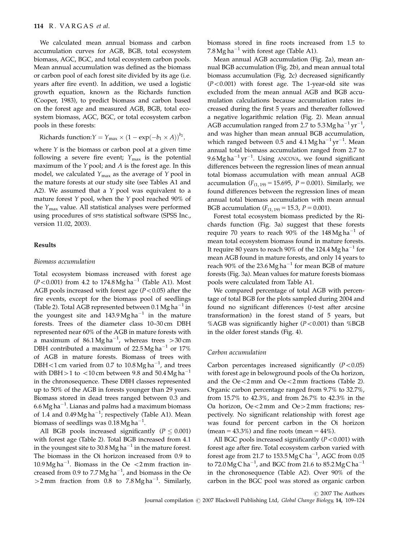We calculated mean annual biomass and carbon accumulation curves for AGB, BGB, total ecosystem biomass, AGC, BGC, and total ecosystem carbon pools. Mean annual accumulation was defined as the biomass or carbon pool of each forest site divided by its age (i.e. years after fire event). In addition, we used a logistic growth equation, known as the Richards function (Cooper, 1983), to predict biomass and carbon based on the forest age and measured AGB, BGB, total ecosystem biomass, AGC, BGC, or total ecosystem carbon pools in these forests:

Richards function:  $Y = Y_{\text{max}} \times (1 - \exp(-b_1 \times A))^{b_2}$ ,

where  $Y$  is the biomass or carbon pool at a given time following a severe fire event;  $Y_{\text{max}}$  is the potential maximum of the  $Y$  pool; and  $A$  is the forest age. In this model, we calculated  $Y_{\text{max}}$  as the average of Y pool in the mature forests at our study site (see Tables A1 and A2). We assumed that a Y pool was equivalent to a mature forest  $Y$  pool, when the  $Y$  pool reached 90% of the  $Y_{\text{max}}$  value. All statistical analyses were performed using procedures of SPSS statistical software (SPSS Inc., version 11.02, 2003).

#### Results

#### Biomass accumulation

Total ecosystem biomass increased with forest age  $(P<0.001)$  from 4.2 to 174.8 Mg ha<sup>-1</sup> (Table A1). Most AGB pools increased with forest age  $(P<0.05)$  after the fire events, except for the biomass pool of seedlings (Table 2). Total AGB represented between 0.1 Mg ha<sup>-1</sup> in the youngest site and  $143.9 \text{ Mg ha}^{-1}$  in the mature forests. Trees of the diameter class 10–30 cm DBH represented near 60% of the AGB in mature forests with a maximum of 86.1 $Mg$ ha $^{-1}$ , whereas trees  $>$ 30 $\,$ cm DBH contributed a maximum of  $22.5$  Mg ha<sup>-1</sup> or  $17\%$ of AGB in mature forests. Biomass of trees with DBH < 1 cm varied from 0.7 to  $10.8 \text{ Mg}$  ha<sup>-1</sup>, and trees with DBH > 1 to  $\langle$  10 cm between 9.8 and 50.4 Mg ha<sup>-1</sup> in the chronosequence. These DBH classes represented up to 50% of the AGB in forests younger than 29 years. Biomass stored in dead trees ranged between 0.3 and 6.6 Mg ha $^{-1}$ . Lianas and palms had a maximum biomass of 1.4 and 0.49 $Mg$  ha<sup>-1</sup>; respectively (Table A1). Mean biomass of seedlings was  $0.18\,\mathrm{Mg\,ha}^{-1}.$ 

All BGB pools increased significantly ( $P \le 0.001$ ) with forest age (Table 2). Total BGB increased from 4.1 in the youngest site to 30.8 Mg ha<sup> $-1$ </sup> in the mature forest. The biomass in the Oi horizon increased from 0.9 to 10.9 Mg ha<sup>-1</sup>. Biomass in the Oe  $\lt$ 2 mm fraction increased from 0.9 to 7.7 Mg ha<sup>-1</sup>, and biomass in the Oe  $>$ 2 mm fraction from 0.8 to 7.8 Mg ha<sup>-1</sup>. Similarly, biomass stored in fine roots increased from 1.5 to 7.8 Mg ha<sup> $-1$ </sup> with forest age (Table A1).

Mean annual AGB accumulation (Fig. 2a), mean annual BGB accumulation (Fig. 2b), and mean annual total biomass accumulation (Fig. 2c) decreased significantly  $(P<0.001)$  with forest age. The 1-year-old site was excluded from the mean annual AGB and BGB accumulation calculations because accumulation rates increased during the first 5 years and thereafter followed a negative logarithmic relation (Fig. 2). Mean annual AGB accumulation ranged from 2.7 to 5.3 Mg ha $^{-1}$  yr $^{-1}$ , and was higher than mean annual BGB accumulation, which ranged between 0.5 and  $4.1 \text{ Mg} \text{ ha}^{-1} \text{ yr}^{-1}$ . Mean annual total biomass accumulation ranged from 2.7 to  $9.6 \text{ Mg ha}^{-1} \text{ yr}^{-1}$ . Using ANCOVA, we found significant differences between the regression lines of mean annual total biomass accumulation with mean annual AGB accumulation ( $F_{(1, 19)} = 15.695$ ,  $P = 0.001$ ). Similarly, we found differences between the regression lines of mean annual total biomass accumulation with mean annual BGB accumulation ( $F_{(1, 19)} = 15.3$ ,  $P = 0.001$ ).

Forest total ecosystem biomass predicted by the Richards function (Fig. 3a) suggest that these forests require 70 years to reach 90% of the  $148 \text{ Mg} \text{ ha}^{-1}$  of mean total ecosystem biomass found in mature forests. It require 80 years to reach 90% of the 124.4 Mg ha<sup>-1</sup> for mean AGB found in mature forests, and only 14 years to reach 90% of the 23.6 Mg ha<sup>-1</sup> for mean BGB of mature forests (Fig. 3a). Mean values for mature forests biomass pools were calculated from Table A1.

We compared percentage of total AGB with percentage of total BGB for the plots sampled during 2004 and found no significant differences (t-test after arcsine transformation) in the forest stand of 5 years, but %AGB was significantly higher  $(P<0.001)$  than %BGB in the older forest stands (Fig. 4).

# Carbon accumulation

Carbon percentages increased significantly  $(P<0.05)$ with forest age in belowground pools of the Oa horizon, and the  $Oe < 2$  mm and  $Oe < 2$  mm fractions (Table 2). Organic carbon percentage ranged from 9.7% to 32.7%, from 15.7% to 42.3%, and from 26.7% to 42.3% in the Oa horizon,  $Oe<2$  mm and  $Oe>2$  mm fractions; respectively. No significant relationship with forest age was found for percent carbon in the Oi horizon (mean =  $43.3\%$ ) and fine roots (mean =  $44\%$ ).

All BGC pools increased significantly  $(P<0.001)$  with forest age after fire. Total ecosystem carbon varied with forest age from 21.7 to  $153.5 \text{Mg} \text{C h}$ a<sup>-1</sup>, AGC from 0.05 to 72.0 Mg C ha $^{-1}$ , and BGC from 21.6 to 85.2 Mg C ha $^{-1}$ in the chronosequence (Table A2). Over 90% of the carbon in the BGC pool was stored as organic carbon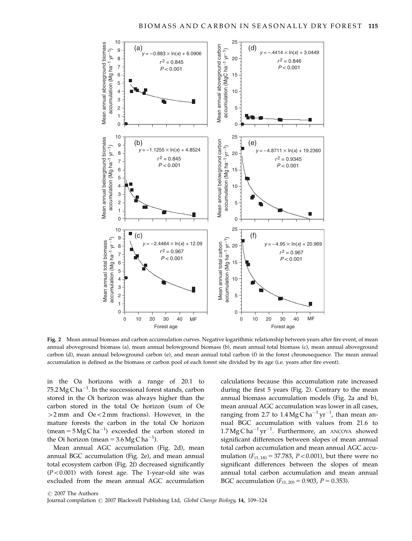

Fig. 2 Mean annual biomass and carbon accumulation curves. Negative logarithmic relationship between years after fire event, of mean annual aboveground biomass (a), mean annual belowground biomass (b), mean annual total biomass (c), mean annual aboveground carbon (d), mean annual belowground carbon (e), and mean annual total carbon (f) in the forest chronosequence. The mean annual accumulation is defined as the biomass or carbon pool of each forest site divided by its age (i.e. years after fire event).

in the Oa horizons with a range of 20.1 to  $75.2\,\mathrm{Mg\,C\,ha^{-1}}$ . In the successional forest stands, carbon stored in the Oi horizon was always higher than the carbon stored in the total Oe horizon (sum of Oe  $>2$  mm and  $Oe\lt2$  mm fractions). However, in the mature forests the carbon in the total Oe horizon (mean =  $5 \text{Mg} \text{Cha}^{-1}$ ) exceeded the carbon stored in the Oi horizon (mean =  $3.6 \text{ Mg C}$  ha<sup>-1</sup>).

Mean annual AGC accumulation (Fig. 2d), mean annual BGC accumulation (Fig. 2e), and mean annual total ecosystem carbon (Fig. 2f) decreased significantly  $(P<0.001)$  with forest age. The 1-year-old site was excluded from the mean annual AGC accumulation

calculations because this accumulation rate increased during the first 5 years (Fig. 2). Contrary to the mean annual biomass accumulation models (Fig. 2a and b), mean annual AGC accumulation was lower in all cases, ranging from 2.7 to  $1.4 \text{ Mg C} \text{ ha}^{-1} \text{ yr}^{-1}$ , than mean annual BGC accumulation with values from 21.6 to  $1.7 \text{ Mg C} \text{ ha}^{-1} \text{ yr}^{-1}$ . Furthermore, an ANCOVA showed significant differences between slopes of mean annual total carbon accumulation and mean annual AGC accumulation ( $F_{(1, 18)} = 37.783$ ,  $P < 0.001$ ), but there were no significant differences between the slopes of mean annual total carbon accumulation and mean annual BGC accumulation  $(F_{(1, 20)} = 0.903, P = 0.353)$ .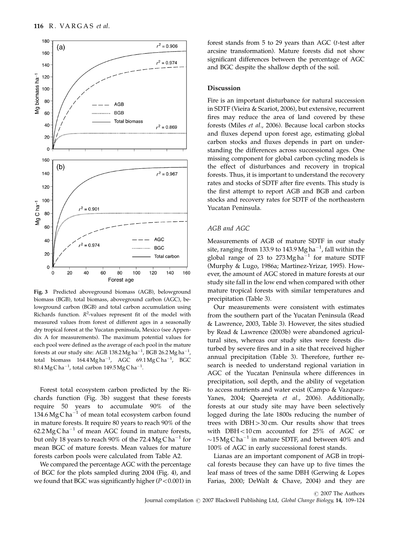

Fig. 3 Predicted aboveground biomass (AGB), belowground biomass (BGB), total biomass, aboveground carbon (AGC), belowground carbon (BGB) and total carbon accumulation using Richards function.  $R^2$ -values represent fit of the model with measured values from forest of different ages in a seasonally dry tropical forest at the Yucatan peninsula, Mexico (see Appendix A for measurements). The maximum potential values for each pool were defined as the average of each pool in the mature forests at our study site: AGB 138.2Mg ha $^{-1}$ , BGB 26.2Mg ha $^{-1}$ , total biomass  $164.4 \,\mathrm{Mg\,ha}^{-1}$ , AGC  $69.1 \,\mathrm{Mg\,Ca}^{-1}$ , BGC  $80.4\,\mathrm{Mg}\,\mathrm{C}\,\mathrm{ha}^{-1}$ , total carbon 149.5  $\mathrm{Mg}\,\mathrm{C}\,\mathrm{ha}^{-1}$ .

Forest total ecosystem carbon predicted by the Richards function (Fig. 3b) suggest that these forests require 50 years to accumulate 90% of the 134.6 Mg C ha<sup>-1</sup> of mean total ecosystem carbon found in mature forests. It require 80 years to reach 90% of the 62.2 Mg C ha<sup>-1</sup> of mean AGC found in mature forests, but only 18 years to reach 90% of the 72.4 Mg C ha<sup>-1</sup> for mean BGC of mature forests. Mean values for mature forests carbon pools were calculated from Table A2.

We compared the percentage AGC with the percentage of BGC for the plots sampled during 2004 (Fig. 4), and we found that BGC was significantly higher  $(P<0.001)$  in

forest stands from 5 to 29 years than AGC (t-test after arcsine transformation). Mature forests did not show significant differences between the percentage of AGC and BGC despite the shallow depth of the soil.

#### Discussion

Fire is an important disturbance for natural succession in SDTF (Vieira & Scariot, 2006), but extensive, recurrent fires may reduce the area of land covered by these forests (Miles et al., 2006). Because local carbon stocks and fluxes depend upon forest age, estimating global carbon stocks and fluxes depends in part on understanding the differences across successional ages. One missing component for global carbon cycling models is the effect of disturbances and recovery in tropical forests. Thus, it is important to understand the recovery rates and stocks of SDTF after fire events. This study is the first attempt to report AGB and BGB and carbon stocks and recovery rates for SDTF of the northeastern Yucatan Peninsula.

# AGB and AGC

Measurements of AGB of mature SDTF in our study site, ranging from 133.9 to 143.9 Mg ha $^{-1}$ , fall within the global range of 23 to  $273 \text{Mg}$  ha<sup>-1</sup> for mature SDTF (Murphy & Lugo, 1986a; Martinez-Yrizar, 1995). However, the amount of AGC stored in mature forests at our study site fall in the low end when compared with other mature tropical forests with similar temperatures and precipitation (Table 3).

Our measurements were consistent with estimates from the southern part of the Yucatan Peninsula (Read & Lawrence, 2003, Table 3). However, the sites studied by Read & Lawrence (2003b) were abandoned agricultural sites, whereas our study sites were forests disturbed by severe fires and in a site that received higher annual precipitation (Table 3). Therefore, further research is needed to understand regional variation in AGC of the Yucatan Peninsula where differences in precipitation, soil depth, and the ability of vegetation to access nutrients and water exist (Campo & Vazquez-Yanes, 2004; Querejeta et al., 2006). Additionally, forests at our study site may have been selectively logged during the late 1800s reducing the number of trees with  $DBH > 30$  cm. Our results show that trees with  $DBH<10$  cm accounted for 25% of AGC or  $\sim$ 15 Mg C ha<sup>-1</sup> in mature SDTF, and between 40% and 100% of AGC in early successional forest stands.

Lianas are an important component of AGB in tropical forests because they can have up to five times the leaf mass of trees of the same DBH (Gerwing & Lopes Farias, 2000; DeWalt & Chave, 2004) and they are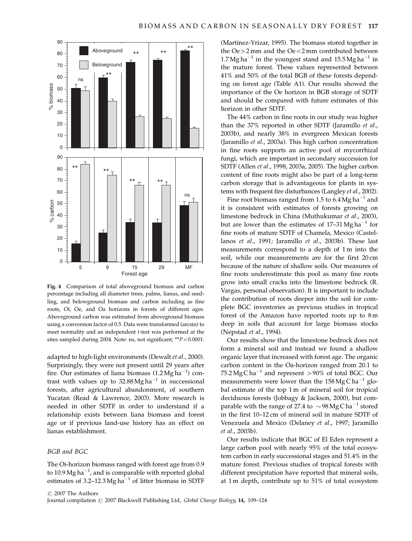

Fig. 4 Comparison of total aboveground biomass and carbon percentage including all diameter trees, palms, lianas, and seedling, and belowground biomass and carbon including as fine roots, Oi, Oe, and Oa horizons in forests of different ages. Aboveground carbon was estimated from aboveground biomass using a conversion factor of 0.5. Data were transformed (arcsin) to meet normality and an independent t-test was performed at the sites sampled during 2004. Note: ns, not significant;  $*P < 0.0001$ .

adapted to high-light environments (Dewalt et al., 2000). Surprisingly, they were not present until 29 years after fire. Our estimates of liana biomass  $(1.2 \text{ Mg ha}^{-1})$  contrast with values up to  $32.88$  Mg ha<sup>-1</sup> in successional forests, after agricultural abandonment, of southern Yucatan (Read & Lawrence, 2003). More research is needed in other SDTF in order to understand if a relationship exists between liana biomass and forest age or if previous land-use history has an effect on lianas establishment.

#### BGB and BGC

The Oi-horizon biomass ranged with forest age from 0.9 to 10.9 Mg ha $^{-1}$ , and is comparable with reported global estimates of 3.2–12.3 Mg ha<sup>-1</sup> of litter biomass in SDTF

(Martinez-Yrizar, 1995). The biomass stored together in the  $Oe > 2$  mm and the  $Oe < 2$  mm contributed between  $1.7$  Mg ha<sup>-1</sup> in the youngest stand and  $15.5$  Mg ha<sup>-1</sup> in the mature forest. These values represented between 41% and 50% of the total BGB of these forests depending on forest age (Table A1). Our results showed the importance of the Oe horizon in BGB storage of SDTF and should be compared with future estimates of this horizon in other SDTF.

The 44% carbon in fine roots in our study was higher than the 37% reported in other SDTF (Jaramillo et al., 2003b), and nearly 38% in evergreen Mexican forests (Jaramillo et al., 2003a). This high carbon concentration in fine roots supports an active pool of mycorrhizal fungi, which are important in secondary succession for SDTF (Allen et al., 1998, 2003a, 2005). The higher carbon content of fine roots might also be part of a long-term carbon storage that is advantageous for plants in systems with frequent fire disturbances (Langley et al., 2002).

Fine root biomass ranged from 1.5 to  $6.4 \text{ Mg} \text{ ha}^{-1}$  and it is consistent with estimates of forests growing on limestone bedrock in China (Muthukumar et al., 2003), but are lower than the estimates of  $17-31$  Mg ha<sup>-1</sup> for fine roots of mature SDTF of Chamela, Mexico (Castellanos et al., 1991; Jaramillo et al., 2003b). These last measurements correspond to a depth of 1 m into the soil, while our measurements are for the first 20 cm because of the nature of shallow soils. Our measures of fine roots underestimate this pool as many fine roots grow into small cracks into the limestone bedrock (R. Vargas, personal observation). It is important to include the contribution of roots deeper into the soil for complete BGC inventories as previous studies in tropical forest of the Amazon have reported roots up to 8 m deep in soils that account for large biomass stocks (Nepstad et al., 1994).

Our results show that the limestone bedrock does not form a mineral soil and instead we found a shallow organic layer that increased with forest age. The organic carbon content in the Oa-horizon ranged from 20.1 to 75.2 Mg C ha<sup>-1</sup> and represent  $>90\%$  of total BGC. Our measurements were lower than the  $158 \text{ Mg C} \text{ ha}^{-1}$  global estimate of the top 1 m of mineral soil for tropical deciduous forests (Jobbagy & Jackson, 2000), but comparable with the range of 27.4 to  $\sim$ 98 Mg C ha<sup>-1</sup> stored in the first 10–12 cm of mineral soil in mature SDTF of Venezuela and Mexico (Delaney et al., 1997; Jaramillo et al., 2003b).

Our results indicate that BGC of El Eden represent a large carbon pool with nearly 95% of the total ecosystem carbon in early successional stages and 51.4% in the mature forest. Previous studies of tropical forests with different precipitation have reported that mineral soils, at 1 m depth, contribute up to 51% of total ecosystem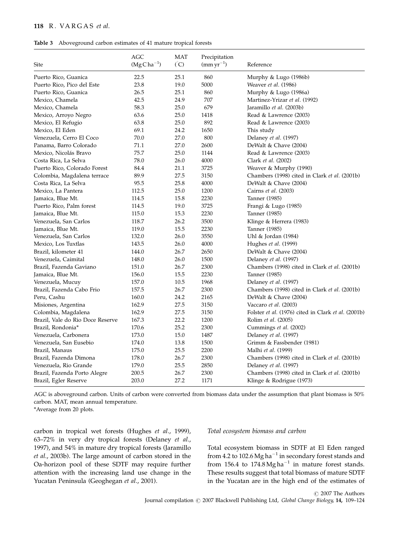#### Table 3 Aboveground carbon estimates of 41 mature tropical forests

| Site                             | AGC<br>$(MgCha^{-1})$ | <b>MAT</b><br>$\binom{^{\circ}C}{ }$ | Precipitation<br>$\rm (mm\,yr^{-1})$ | Reference                                            |
|----------------------------------|-----------------------|--------------------------------------|--------------------------------------|------------------------------------------------------|
| Puerto Rico, Guanica             | 22.5                  | 25.1                                 | 860                                  | Murphy & Lugo (1986b)                                |
| Puerto Rico, Pico del Este       | 23.8                  | 19.0                                 | 5000                                 | Weaver et al. (1986)                                 |
| Puerto Rico, Guanica             | 26.5                  | 25.1                                 | 860                                  | Murphy & Lugo (1986a)                                |
| Mexico, Chamela                  | 42.5                  | 24.9                                 | 707                                  | Martinez-Yrizar et al. (1992)                        |
| Mexico, Chamela                  | 58.3                  | 25.0                                 | 679                                  | Jaramillo et al. (2003b)                             |
| Mexico, Arroyo Negro             | 63.6                  | 25.0                                 | 1418                                 | Read & Lawrence (2003)                               |
| Mexico, El Refugio               | 63.8                  | 25.0                                 | 892                                  | Read & Lawrence (2003)                               |
| Mexico, El Eden                  | 69.1                  | 24.2                                 | 1650                                 | This study                                           |
| Venezuela, Cerro El Coco         | 70.0                  | 27.0                                 | 800                                  | Delaney et al. (1997)                                |
| Panama, Barro Colorado           | 71.1                  | 27.0                                 | 2600                                 | DeWalt & Chave $(2004)$                              |
| Mexico, Nicolás Bravo            | 75.7                  | 25.0                                 | 1144                                 | Read & Lawrence (2003)                               |
| Costa Rica, La Selva             | 78.0                  | 26.0                                 | 4000                                 | Clark et al. (2002)                                  |
| Puerto Rico, Colorado Forest     | 84.4                  | 21.1                                 | 3725                                 | Weaver & Murphy (1990)                               |
| Colombia, Magdalena terrace      | 89.9                  | 27.5                                 | 3150                                 | Chambers (1998) cited in Clark et al. (2001b)        |
| Costa Rica, La Selva             | 95.5                  | 25.8                                 | 4000                                 | DeWalt & Chave (2004)                                |
| Mexico, La Pantera               | 112.5                 | 25.0                                 | 1200                                 | Cairns et al. (2003)                                 |
| Jamaica, Blue Mt.                | 114.5                 | 15.8                                 | 2230                                 | Tanner (1985)                                        |
| Puerto Rico, Palm forest         | 114.5                 | 19.0                                 | 3725                                 | Frangi & Lugo (1985)                                 |
| Jamaica, Blue Mt.                | 115.0                 | 15.3                                 | 2230                                 | Tanner (1985)                                        |
| Venezuela, San Carlos            | 118.7                 | 26.2                                 | 3500                                 | Klinge & Herrera (1983)                              |
| Jamaica, Blue Mt.                | 119.0                 | 15.5                                 | 2230                                 | Tanner (1985)                                        |
| Venezuela, San Carlos            | 132.0                 | 26.0                                 | 3550                                 | Uhl & Jordan (1984)                                  |
| Mexico, Los Tuxtlas              | 143.5                 | 26.0                                 | 4000                                 | Hughes et al. (1999)                                 |
| Brazil, kilometer 41             | 144.0                 | 26.7                                 | 2650                                 | DeWalt & Chave (2004)                                |
| Venezuela, Caimital              | 148.0                 | 26.0                                 | 1500                                 | Delaney et al. (1997)                                |
| Brazil, Fazenda Gaviano          | 151.0                 | 26.7                                 | 2300                                 | Chambers (1998) cited in Clark et al. (2001b)        |
| Jamaica, Blue Mt.                | 156.0                 | 15.5                                 | 2230                                 | Tanner (1985)                                        |
| Venezuela, Mucuy                 | 157.0                 | 10.5                                 | 1968                                 | Delaney et al. (1997)                                |
| Brazil, Fazenda Cabo Frio        | 157.5                 | 26.7                                 | 2300                                 | Chambers (1998) cited in Clark et al. (2001b)        |
| Peru, Cashu                      | 160.0                 | 24.2                                 | 2165                                 | DeWalt & Chave (2004)                                |
| Misiones, Argentina              | 162.9                 | 27.5                                 | 3150                                 | Vaccaro et al. (2003)                                |
| Colombia, Magdalena              | 162.9                 | 27.5                                 | 3150                                 | Folster et al. (1976) cited in Clark et al. (2001b)  |
| Brazil, Vale do Rio Doce Reserve | 167.3                 | 22.2                                 | 1200                                 | Rolim et al. (2005)                                  |
| Brazil, Rondonia*                | 170.6                 | 25.2                                 | 2300                                 | Cummings et al. (2002)                               |
| Venezuela, Carbonera             | 173.0                 | 15.0                                 | 1487                                 | Delaney et al. (1997)                                |
| Venezuela, San Eusebio           | 174.0                 | 13.8                                 | 1500                                 | Grimm & Fassbender (1981)                            |
| Brazil, Manaus                   | 175.0                 | 25.5                                 | 2200                                 | Malhi et al. (1999)                                  |
| Brazil, Fazenda Dimona           | 178.0                 | 26.7                                 | 2300                                 | Chambers (1998) cited in Clark <i>et al.</i> (2001b) |
| Venezuela, Rio Grande            | 179.0                 | 25.5                                 | 2850                                 | Delaney et al. (1997)                                |
| Brazil, Fazenda Porto Alegre     | 200.5                 | 26.7                                 | 2300                                 | Chambers (1998) cited in Clark et al. (2001b)        |
| Brazil, Egler Reserve            | 203.0                 | 27.2                                 | 1171                                 | Klinge & Rodrigue (1973)                             |

AGC is aboveground carbon. Units of carbon were converted from biomass data under the assumption that plant biomass is 50% carbon. MAT, mean annual temperature.

\*Average from 20 plots.

carbon in tropical wet forests (Hughes et al., 1999), 63–72% in very dry tropical forests (Delaney et al., 1997), and 54% in mature dry tropical forests (Jaramillo et al., 2003b). The large amount of carbon stored in the Oa-horizon pool of these SDTF may require further attention with the increasing land use change in the Yucatan Peninsula (Geoghegan et al., 2001).

# Total ecosystem biomass and carbon

Total ecosystem biomass in SDTF at El Eden ranged from 4.2 to 102.6 Mg ha<sup>-1</sup> in secondary forest stands and from 156.4 to 174.8 Mg ha<sup>-1</sup> in mature forest stands. These results suggest that total biomass of mature SDTF in the Yucatan are in the high end of the estimates of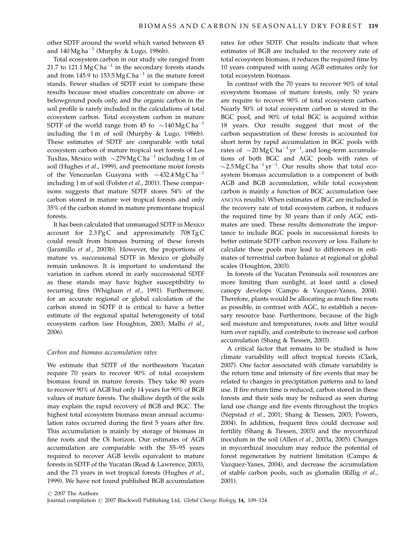other SDTF around the world which varied between 45 and  $140$  Mg ha<sup>-1</sup> (Murphy & Lugo, 1986b).

Total ecosystem carbon in our study site ranged from 21.7 to 121.1 Mg C ha<sup>-1</sup> in the secondary forests stands and from 145.9 to  $153.5 \text{Mg} \text{C} \text{h} \text{a}^{-1}$  in the mature forest stands. Fewer studies of SDTF exist to compare these results because most studies concentrate on above- or belowground pools only, and the organic carbon in the soil profile is rarely included in the calculations of total ecosystem carbon. Total ecosystem carbon in mature SDTF of the world range from 45 to  $\sim$  140 Mg C ha<sup>-1</sup> including the 1 m of soil (Murphy & Lugo, 1986b). These estimates of SDTF are comparable with total ecosystem carbon of mature tropical wet forests of Los Tuxltas, Mexico with  $\sim$ 279 Mg C ha<sup>-1</sup> including 1 m of soil (Hughes et al., 1999), and premontane moist forests of the Venezuelan Guayana with  $\sim$ 432.4 Mg C ha<sup>-1</sup> including 1 m of soil (Folster et al., 2001). These comparisons suggests that mature SDTF stores 54% of the carbon stored in mature wet tropical forests and only 35% of the carbon stored in mature premontane tropical forests.

It has been calculated that unmanaged SDTF in Mexico account for  $2.3 \text{ PgC}$  and approximately  $708 \text{ TgC}$ could result from biomass burning of these forests (Jaramillo et al., 2003b). However, the proportions of mature vs. successional SDTF in Mexico or globally remain unknown. It is important to understand the variation in carbon stored in early successional SDTF as these stands may have higher susceptibility to recurring fires (Whigham et al., 1991). Furthermore, for an accurate regional or global calculation of the carbon stored in SDTF it is critical to have a better estimate of the regional spatial heterogeneity of total ecosystem carbon (see Houghton, 2003; Malhi et al., 2006).

# Carbon and biomass accumulation rates

We estimate that SDTF of the northeastern Yucatan require 70 years to recover 90% of total ecosystem biomass found in mature forests. They take 80 years to recover 90% of AGB but only 14 years for 90% of BGB values of mature forests. The shallow depth of the soils may explain the rapid recovery of BGB and BGC. The highest total ecosystem biomass mean annual accumulation rates occurred during the first 5 years after fire. This accumulation is mainly by storage of biomass in fine roots and the Oi horizon. Our estimates of AGB accumulation are comparable with the 55–95 years required to recover AGB levels equivalent to mature forests in SDTF of the Yucatan (Read & Lawrence, 2003), and the 73 years in wet tropical forests (Hughes et al., 1999). We have not found published BGB accumulation rates for other SDTF. Our results indicate that when estimates of BGB are included to the recovery rate of total ecosystem biomass, it reduces the required time by 10 years compared with using AGB estimates only for total ecosystem biomass.

In contrast with the 70 years to recover 90% of total ecosystem biomass of mature forests, only 50 years are require to recover 90% of total ecosystem carbon. Nearly 50% of total ecosystem carbon is stored in the BGC pool, and 90% of total BGC is acquired within 18 years. Our results suggest that most of the carbon sequestration of these forests is accounted for short term by rapid accumulation in BGC pools with rates of  $\sim$  20 Mg C ha<sup>-1</sup> yr<sup>-1</sup>, and long-term accumulations of both BGC and AGC pools with rates of  $\sim$  2.5 Mg C ha<sup>-1</sup> yr<sup>-1</sup>. Our results show that total ecosystem biomass accumulation is a component of both AGB and BGB accumulation, while total ecosystem carbon is mainly a function of BGC accumulation (see ANCOVA results). When estimates of BGC are included in the recovery rate of total ecosystem carbon, it reduces the required time by 30 years than if only AGC estimates are used. These results demonstrate the importance to include BGC pools in successional forests to better estimate SDTF carbon recovery or loss. Failure to calculate these pools may lead to differences in estimates of terrestrial carbon balance at regional or global scales (Houghton, 2003).

In forests of the Yucatan Peninsula soil resources are more limiting than sunlight, at least until a closed canopy develops (Campo & Vazquez-Yanes, 2004). Therefore, plants would be allocating as much fine roots as possible, in contrast with AGC, to establish a necessary resource base. Furthermore, because of the high soil moisture and temperatures, roots and litter would turn over rapidly, and contribute to increase soil carbon accumulation (Shang & Tiessen, 2003).

A critical factor that remains to be studied is how climate variability will affect tropical forests (Clark, 2007). One factor associated with climate variability is the return time and intensity of fire events that may be related to changes in precipitation patterns and to land use. If fire return time is reduced, carbon stored in these forests and their soils may be reduced as seen during land use change and fire events throughout the tropics (Nepstad et al., 2001; Shang & Tiessen, 2003; Powers, 2004). In addition, frequent fires could decrease soil fertility (Shang & Tiessen, 2003) and the mycorrhizal inoculum in the soil (Allen et al., 2003a, 2005). Changes in mycorrhizal inoculum may reduce the potential of forest regeneration by nutrient limitation (Campo & Vazquez-Yanes, 2004), and decrease the accumulation of stable carbon pools, such as glomalin (Rillig et al., 2001).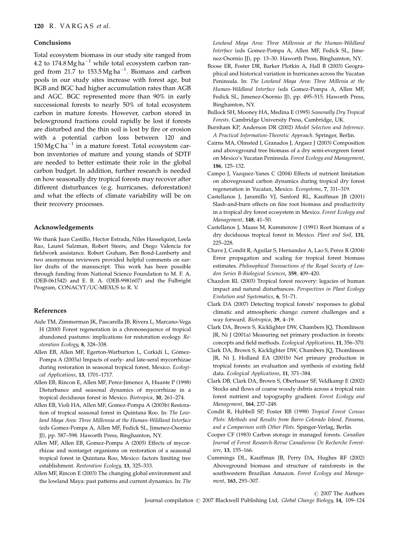#### Conclusions

Total ecosystem biomass in our study site ranged from 4.2 to 174.8 Mg ha<sup>-1</sup> while total ecosystem carbon ranged from 21.7 to  $153.5 \text{Mg} \text{ ha}^{-1}$ . Biomass and carbon pools in our study sites increase with forest age, but BGB and BGC had higher accumulation rates than AGB and AGC. BGC represented more than 90% in early successional forests to nearly 50% of total ecosystem carbon in mature forests. However, carbon stored in belowground fractions could rapidly be lost if forests are disturbed and the thin soil is lost by fire or erosion with a potential carbon loss between 120 and  $150$  Mg C ha<sup>-1</sup> in a mature forest. Total ecosystem carbon inventories of mature and young stands of SDTF are needed to better estimate their role in the global carbon budget. In addition, further research is needed on how seasonally dry tropical forests may recover after different disturbances (e.g. hurricanes, deforestation) and what the effects of climate variability will be on their recovery processes.

#### Acknowledgements

We thank Juan Castillo, Hector Estrada, Niles Hasselquist, Leela Rao, Laurel Salzman, Robert Steers, and Diego Valencia for fieldwork assistance. Robert Graham, Ben Bond-Lamberty and two anonymous reviewers provided helpful comments on earlier drafts of the manuscript. This work has been possible through funding from National Science Foundation to M. F. A. (DEB-061542) and E. B. A. (DEB-9981607) and the Fulbright Program, CONACYT/UC-MEXUS to R. V.

# References

- Aide TM, Zimmerman JK, Pascarella JB, Rivera L, Marcano-Vega H (2000) Forest regeneration in a chronosequence of tropical abandoned pastures: implications for restoration ecology. Restoration Ecology, 8, 328–338.
- Allen EB, Allen MF, Egerton-Warburton L, Corkidi L, Gómez-Pompa A (2003a) Impacts of early- and late-seral mycorrhizae during restoration in seasonal tropical forest, Mexico. Ecological Applications, 13, 1701–1717.
- Allen EB, Rincon E, Allen MF, Perez-Jimenez A, Huante P (1998) Disturbance and seasonal dynamics of mycorrhizae in a tropical deciduous forest in Mexico. Biotropica, 30, 261–274.
- Allen EB, Violi HA, Allen MF, Gomez-Pompa A (2003b) Restoration of tropical seasonal forest in Quintana Roo. In: The Lowland Maya Area: Three Millennia at the Human-Wildland Interface (eds Gomez-Pompa A, Allen MF, Fedick SL, Jimenez-Osornio JJ), pp. 587–598. Haworth Press, Binghamton, NY.
- Allen MF, Allen EB, Gomez-Pompa A (2005) Effects of mycorrhizae and nontarget organisms on restoration of a seasonal tropical forest in Quintana Roo, Mexico: factors limiting tree establishment. Restoration Ecology, 13, 325–333.
- Allen MF, Rincon E (2003) The changing global environment and the lowland Maya: past patterns and current dynamics. In: The

Lowland Maya Area: Three Millennia at the Human-Wildland Interface (eds Gomez-Pompa A, Allen MF, Fedick SL, Jimenez-Osornio JJ), pp. 13–30. Haworth Press, Binghamton, NY.

- Boose ER, Foster DR, Barker Plotkin A, Hall B (2003) Geographical and historical variation in hurricanes across the Yucatan Peninsula. In: The Lowland Maya Area: Three Millenia at the Human-Wildland Interface (eds Gomez-Pompa A, Allen MF, Fedick SL, Jimenez-Osornio JJ), pp. 495–515. Haworth Press, Binghamton, NY.
- Bullock SH, Mooney HA, Medina E (1995) Seasonally Dry Tropical Forests. Cambridge University Press, Cambridge, UK.
- Burnham KP, Anderson DR (2002) Model Selection and Inference. A Practical Information-Theoretic Approach. Springer, Berlin.
- Cairns MA, Olmsted I, Granados J, Argaez J (2003) Composition and aboveground tree biomass of a dry semi-evergreen forest on Mexico's Yucatan Peninsula. Forest Ecology and Management, 186, 125–132.
- Campo J, Vazquez-Yanes C (2004) Effects of nutrient limitation on aboveground carbon dynamics during tropical dry forest regeneration in Yucatan, Mexico. Ecosystems, 7, 311–319.
- Castellanos J, Jaramillo VJ, Sanford RL, Kauffman JB (2001) Slash-and-burn effects on fine root biomass and productivity in a tropical dry forest ecosystem in Mexico. Forest Ecology and Management, 148, 41–50.
- Castellanos J, Maass M, Kummerow J (1991) Root biomass of a dry deciduous tropical forest in Mexico. Plant and Soil, 131, 225–228.
- Chave J, Condit R, Aguilar S, Hernandez A, Lao S, Perez R (2004) Error propagation and scaling for tropical forest biomass estimates. Philosophical Transactions of the Royal Society of London Series B-Biological Sciences, 359, 409–420.
- Chazdon RL (2003) Tropical forest recovery: legacies of human impact and natural disturbances. Perspectives in Plant Ecology Evolution and Systematics, 6, 51–71.
- Clark DA (2007) Detecting tropical forests' responses to global climatic and atmospheric change: current challenges and a way forward. Biotropica, 39, 4–19.
- Clark DA, Brown S, Kicklighter DW, Chambers JQ, Thomlinson JR, Ni J (2001a) Measuring net primary production in forests: concepts and field methods. Ecological Applications, 11, 356–370.
- Clark DA, Brown S, Kicklighter DW, Chambers JQ, Thomlinson JR, Ni J, Holland EA (2001b) Net primary production in tropical forests: an evaluation and synthesis of existing field data. Ecological Applications, 11, 371–384.
- Clark DB, Clark DA, Brown S, Oberbauer SF, Veldkamp E (2002) Stocks and flows of coarse woody debris across a tropical rain forest nutrient and topography gradient. Forest Ecology and Management, 164, 237–248.
- Condit R, Hubbell SP, Foster RB (1998) Tropical Forest Census Plots: Methods and Results from Barro Colorado Island, Panama, and a Comparison with Other Plots. Spinger-Verlag, Berlin.
- Cooper CF (1983) Carbon storage in managed forests. Canadian Journal of Forest Research-Revue Canadienne De Recherche Forestiere, 13, 155–166.
- Cummings DL, Kauffman JB, Perry DA, Hughes RF (2002) Aboveground biomass and structure of rainforests in the southwestern Brazilian Amazon. Forest Ecology and Management, 163, 293–307.

 $\odot$  2007 The Authors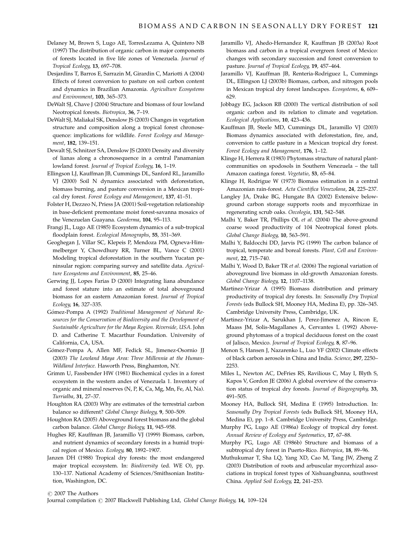- Delaney M, Brown S, Lugo AE, TorresLezama A, Quintero NB (1997) The distribution of organic carbon in major components of forests located in five life zones of Venezuela. Journal of Tropical Ecology, 13, 697–708.
- Desjardins T, Barros E, Sarrazin M, Girardin C, Mariotti A (2004) Effects of forest conversion to pasture on soil carbon content and dynamics in Brazilian Amazonia. Agriculture Ecosystems and Environment, 103, 365–373.
- DeWalt SJ, Chave J (2004) Structure and biomass of four lowland Neotropical forests. Biotropica, 36, 7–19.
- DeWalt SJ, Maliakal SK, Denslow JS (2003) Changes in vegetation structure and composition along a tropical forest chronosequence: implications for wildlife. Forest Ecology and Management, 182, 139–151.
- Dewalt SJ, Schnitzer SA, Denslow JS (2000) Density and diversity of lianas along a chronosequence in a central Panamanian lowland forest. Journal of Tropical Ecology, 16, 1–19.
- Ellingson LJ, Kauffman JB, Cummings DL, Sanford RL, Jaramillo VJ (2000) Soil N dynamics associated with deforestation, biomass burning, and pasture conversion in a Mexican tropical dry forest. Forest Ecology and Management, 137, 41–51.
- Folster H, Dezzeo N, Priess JA (2001) Soil-vegetation relationship in base-deficient premontane moist forest-savanna mosaics of the Venezuelan Guayana. Geoderma, 104, 95–113.
- Frangi JL, Lugo AE (1985) Ecosystem dynamics of a sub-tropical floodplain forest. Ecological Monographs, 55, 351–369.
- Geoghegan J, Villar SC, Klepeis P, Mendoza PM, Ogneva-Himmelberger Y, Chowdhury RR, Turner BL, Vance C (2001) Modeling tropical deforestation in the southern Yucatan peninsular region: comparing survey and satellite data. Agriculture Ecosystems and Environment, 85, 25–46.
- Gerwing JJ, Lopes Farias D (2000) Integrating liana abundance and forest stature into an estimate of total aboveground biomass for an eastern Amazonian forest. Journal of Tropical Ecology, 16, 327–335.
- Gómez-Pompa A (1992) Traditional Management of Natural Resources for the Conservation of Biodiversity and the Development of Sustainable Agriculture for the Maya Region. Riverside, USA. John D. and Catherine T. Macarthur Foundation. University of California, CA, USA.
- Gómez-Pompa A, Allen MF, Fedick SL, Jimenez-Osornio JJ (2003) The Lowland Maya Area: Three Millennia at the Human-Wildland Interface. Haworth Press, Binghamton, NY.
- Grimm U, Fassbender HW (1981) Biochemical cycles in a forest ecosystem in the western andes of Venezuela 1. Inventory of organic and mineral reserves (N, P, K, Ca, Mg, Mn, Fe, Al, Na). Turrialba, 31, 27–37.
- Houghton RA (2003) Why are estimates of the terrestrial carbon balance so different? Global Change Biology, 9, 500–509.
- Houghton RA (2005) Aboveground forest biomass and the global carbon balance. Global Change Biology, 11, 945–958.
- Hughes RF, Kauffman JB, Jaramillo VJ (1999) Biomass, carbon, and nutrient dynamics of secondary forests in a humid tropical region of Mexico. Ecology, 80, 1892–1907.
- Janzen DH (1988) Tropical dry forests: the most endangered major tropical ecosystem. In: Biodiversity (ed. WE O), pp. 130–137. National Academy of Sciences/Smithsonian Institution, Washington, DC.
- Jaramillo VJ, Ahedo-Hernandez R, Kauffman JB (2003a) Root biomass and carbon in a tropical evergreen forest of Mexico: changes with secondary succession and forest conversion to pasture. Journal of Tropical Ecology, 19, 457–464.
- Jaramillo VJ, Kauffman JB, Renteria-Rodriguez L, Cummings DL, Ellingson LJ (2003b) Biomass, carbon, and nitrogen pools in Mexican tropical dry forest landscapes. Ecosystems, 6, 609– 629.
- Jobbagy EG, Jackson RB (2000) The vertical distribution of soil organic carbon and its relation to climate and vegetation. Ecological Applications, 10, 423–436.
- Kauffman JB, Steele MD, Cummings DL, Jaramillo VJ (2003) Biomass dynamics associated with deforestation, fire, and, conversion to cattle pasture in a Mexican tropical dry forest. Forest Ecology and Management, 176, 1–12.
- Klinge H, Herrera R (1983) Phytomass structure of natural plantcommunities on spodosols in Southern Venezuela – the tall Amazon caatinga forest. Vegetatio, 53, 65–84.
- Klinge H, Rodrigue W (1973) Biomass estimation in a central Amazonian rain-forest. Acta Cientifica Venezolana, 24, 225–237.
- Langley JA, Drake BG, Hungate BA (2002) Extensive belowground carbon storage supports roots and mycorrhizae in regenerating scrub oaks. Oecologia, 131, 542–548.
- Malhi Y, Baker TR, Phillips OL et al. (2004) The above-ground coarse wood productivity of 104 Neotropical forest plots. Global Change Biology, 10, 563–591.
- Malhi Y, Baldocchi DD, Jarvis PG (1999) The carbon balance of tropical, temperate and boreal forests. Plant, Cell and Environment, 22, 715–740.
- Malhi Y, Wood D, Baker TR et al. (2006) The regional variation of aboveground live biomass in old-growth Amazonian forests. Global Change Biology, 12, 1107–1138.
- Martinez-Yrizar A (1995) Biomass distribution and primary productivity of tropical dry forests. In: Seasonally Dry Tropical Forests (eds Bullock SH, Mooney HA, Medina E), pp. 326–345. Cambridge University Press, Cambridge, UK.
- Martinez-Yrizar A, Sarukhan J, Perez-Jimenez A, Rincon E, Maass JM, Solis-Magallanes A, Cervantes L (1992) Aboveground phytomass of a tropical deciduous forest on the coast of Jalisco, Mexico. Journal of Tropical Ecology, 8, 87–96.
- Menon S, Hansen J, Nazarenko L, Luo YF (2002) Climate effects of black carbon aerosols in China and India. Science, 297, 2250– 2253.
- Miles L, Newton AC, DeFries RS, Ravilious C, May I, Blyth S, Kapos V, Gordon JE (2006) A global overview of the conservation status of tropical dry forests. Journal of Biogeography, 33, 491–505.
- Mooney HA, Bullock SH, Medina E (1995) Introduction. In: Seasonally Dry Tropical Forests (eds Bullock SH, Mooney HA, Medina E), pp. 1–8. Cambridge University Press, Cambridge.
- Murphy PG, Lugo AE (1986a) Ecology of tropical dry forest. Annual Review of Ecology and Systematics, 17, 67–88.
- Murphy PG, Lugo AE (1986b) Structure and biomass of a subtropical dry forest in Puerto-Rico. Biotropica, 18, 89–96.
- Muthukumar T, Sha LQ, Yang XD, Cao M, Tang JW, Zheng Z (2003) Distribution of roots and arbuscular mycorrhizal associations in tropical forest types of Xishuangbanna, southwest China. Applied Soil Ecology, 22, 241–253.

 $\odot$  2007 The Authors

Journal compilation  $\odot$  2007 Blackwell Publishing Ltd, Global Change Biology, 14, 109–124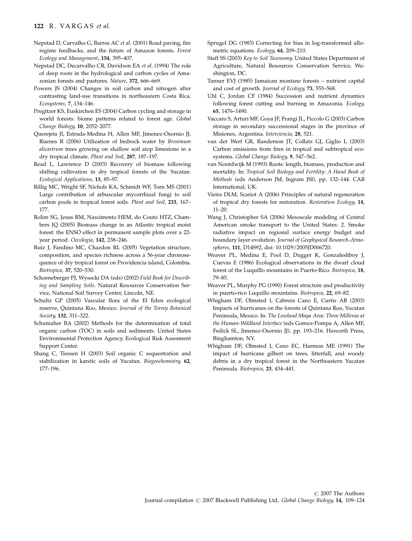- Nepstad D, Carvalho G, Barros AC et al. (2001) Road paving, fire regime feedbacks, and the future of Amazon forests. Forest Ecology and Management, 154, 395–407.
- Nepstad DC, Decarvalho CR, Davidson EA et al. (1994) The role of deep roots in the hydrological and carbon cycles of Amazonian forests and pastures. Nature, 372, 666–669.
- Powers JS (2004) Changes in soil carbon and nitrogen after contrasting land-use transitions in northeastern Costa Rica. Ecosystems, 7, 134–146.
- Pregitzer KS, Euskirchen ES (2004) Carbon cycling and storage in world forests: biome patterns related to forest age. Global Change Biology, 10, 2052–2077.
- Querejeta JI, Estrada-Medina H, Allen MF, Jimenez-Osornio JJ, Ruenes R (2006) Utilization of bedrock water by Brosimum alicastrum trees growing on shallow soil atop limestone in a dry tropical climate. Plant and Soil, 287, 187–197.
- Read L, Lawrence D (2003) Recovery of biomass following shifting cultivation in dry tropical forests of the Yucatan. Ecological Applications, 13, 85–97.
- Rillig MC, Wright SF, Nichols KA, Schmidt WF, Torn MS (2001) Large contribution of arbuscular mycorrhizal fungi to soil carbon pools in tropical forest soils. Plant and Soil, 233, 167– 177.
- Rolim SG, Jesus RM, Nascimento HEM, do Couto HTZ, Chambers JQ (2005) Biomass change in an Atlantic tropical moist forest: the ENSO effect in permanent sample plots over a 22 year period. Oecologia, 142, 238–246.
- Ruiz J, Fandino MC, Chazdon RL (2005) Vegetation structure, composition, and species richness across a 56-year chronosequence of dry tropical forest on Providencia island, Colombia. Biotropica, 37, 520–530.
- Schoeneberger PJ, Wysocki DA (eds) (2002) Field Book for Describing and Sampling Soils. Natural Resources Conservation Service, National Soil Survey Center, Lincoln, NE.
- Schultz GP (2005) Vascular flora of the El Eden ecological reserve, Quintana Roo, Mexico. Journal of the Torrey Botanical Society, 132, 311–322.
- Schumaher BA (2002) Methods for the determination of total organic carbon (TOC) in soils and sediments. United States Environmental Protection Agency, Ecological Risk Assesment Support Center.
- Shang C, Tiessen H (2003) Soil organic C sequestration and stabilization in karstic soils of Yucatan. Biogeochemistry, 62, 177–196.
- Sprugel DG (1983) Correcting for bias in log-transformed allometric equations. Ecology, 64, 209–210.
- Staff SS (2003) Key to Soil Taxonomy. United States Department of Agriculture, Natural Resources Conservation Service, Washington, DC.
- Tanner EVJ (1985) Jamaican montane forests nutrient capital and cost of growth. Journal of Ecology, 73, 553–568.
- Uhl C, Jordan CF (1984) Succession and nutrient dynamics following forest cutting and burning in Amazonia. Ecology, 65, 1476–1490.
- Vaccaro S, Arturi MF, Goya JF, Frangi JL, Piccolo G (2003) Carbon storage in secondary successional stages in the province of Misiones, Argentina. Interciencia, 28, 521.
- van der Werf GR, Randerson JT, Collatz GJ, Giglio L (2003) Carbon emissions from fires in tropical and subtropical ecosystems. Global Change Biology, 9, 547–562.
- van Noordwijk M (1993) Roots: length, biomass, production and mortality. In: Tropical Soil Biology and Fertility: A Hand Book of Methods (eds Anderson JM, Ingram JSI), pp. 132–144. CAB International, UK.
- Vieira DLM, Scariot A (2006) Principles of natural regeneration of tropical dry forests for restoration. Restoration Ecology, 14, 11–20.
- Wang J, Christopher SA (2006) Mesoscale modeling of Central American smoke transport to the United States: 2. Smoke radiative impact on regional surface energy budget and boundary layer evolution. Journal of Geophysical Research-Atmospheres, 111, D14S92, doi: 10.1029/2005JD006720.
- Weaver PL, Medina E, Pool D, Dugger K, Gonzalesliboy J, Cuevas E (1986) Ecological observations in the dwarf cloud forest of the Luquillo mountains in Puerto-Rico. Biotropica, 18, 79–85.
- Weaver PL, Murphy PG (1990) Forest structure and productivity in puerto-rico Luquillo mountains. Biotropica, 22, 69–82.
- Whigham DF, Olmsted I, Cabrera Cano E, Curtis AB (2003) Impacts of hurricanes on the forests of Quintana Roo, Yucatan Peninsula, Mexico. In: The Lowland Maya Area: Three Millenia at the Human-Wildland Interface (eds Gomez-Pompa A, Allen MF, Fedick SL, Jimenez-Osornio JJ), pp. 193–216. Haworth Press, Binghamton, NY.
- Whigham DF, Olmsted I, Cano EC, Harmon ME (1991) The impact of hurricane gilbert on trees, litterfall, and woody debris in a dry tropical forest in the Northeastern Yucatan Peninsula. Biotropica, 23, 434–441.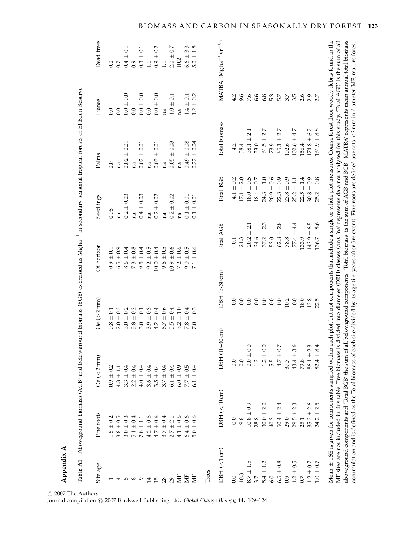| Table A1                            |                                                                                                            | Aboveground biomass (AGB) and belowground biomass (BGB) expressed as Mgha <sup>-1</sup> in secondary seasonal tropical forests of El Eden Reserve                                    |                                           |                              |                                            |                                                                                                                                                                                                                                                    |                    |                                               |
|-------------------------------------|------------------------------------------------------------------------------------------------------------|--------------------------------------------------------------------------------------------------------------------------------------------------------------------------------------|-------------------------------------------|------------------------------|--------------------------------------------|----------------------------------------------------------------------------------------------------------------------------------------------------------------------------------------------------------------------------------------------------|--------------------|-----------------------------------------------|
| Site age                            | Fine roots                                                                                                 | $\rm{Oe}$ (<2 mm)                                                                                                                                                                    | $\rm{Oe}$ ( $>$ 2 mm)                     | Oi horizon                   | Seedlings                                  | Palms                                                                                                                                                                                                                                              | Lianas             | Dead trees                                    |
|                                     | 0.2<br>$+$<br>1.5                                                                                          | 0.2<br>$\overline{+}$<br>6.0                                                                                                                                                         | $\overline{0.1}$<br>$\overline{+}$<br>0.8 | $\pm$ 0.1<br>0.9             | 0.06                                       | 0.0                                                                                                                                                                                                                                                | 0.0                | 0.0                                           |
|                                     | 0.5<br>$\overline{+}$<br>3.8                                                                               | $\overline{+}$<br>4.8                                                                                                                                                                | 0.3<br>$2.0 \pm$                          | $\pm$ 0.9<br>6.5             | na                                         | na                                                                                                                                                                                                                                                 | 0.0                | 0.7                                           |
| LO.                                 | 0.3<br>$\overline{+}$<br>3.0                                                                               | 0.4<br>$\overline{+}$<br>3.3                                                                                                                                                         | 0.2<br>$3.0 +$                            | $\pm 0.4$<br>8.6             | 0.03<br>$0.2 \pm$                          | $\pm$ 0.01<br>0.02                                                                                                                                                                                                                                 | 0.0<br>$0.0 \pm 0$ | $\overline{0.1}$<br>$\overline{+}$<br>0.4     |
| $\infty$                            | 0.4<br>$\overline{+}$<br>5.1                                                                               | $\vec{0}.4$<br>$\overline{+}$<br>2.2                                                                                                                                                 | 0.2<br>$3.8\,\pm$                         | $\pm~0.8$<br>73              | na                                         | na                                                                                                                                                                                                                                                 | 0.0                | 0.9                                           |
| െ                                   | $\overline{+}$<br>7.8                                                                                      | 0.4<br>$\overline{+}$<br>4.0                                                                                                                                                         | $\overline{0.1}$<br>$3.0 +$               | $\pm$ 0.4<br>9.5             | 0.03<br>$0.4 \pm 0$                        | ± 0.01<br>0.02                                                                                                                                                                                                                                     | $0.0 \pm 0.0$      | $\overline{0.1}$<br>$0.3 \pm$                 |
| $\overline{1}$                      | 0.6<br>$\overline{+}$<br>4.2                                                                               | 0.4<br>$\overline{+}$<br>3.6                                                                                                                                                         | 0.3<br>$\overline{+}$<br>3.9              | $\pm$ 0.5<br>9.2             | na                                         | na                                                                                                                                                                                                                                                 | 0.0                | $\Box$                                        |
| 15                                  | 0.6<br>$\overline{+}$<br>4.7                                                                               | 0.4<br>$\overline{+}$<br>3.5                                                                                                                                                         | 0.4<br>$\overline{+}$<br>4.2              | $\pm 0.4$<br>0.0             | 0.02<br>$\overline{+}$<br>0.2              | $\pm$ 0.01<br>0.03                                                                                                                                                                                                                                 | $0.0 \pm 0.0$      | 0.2<br>$0.9 \pm$                              |
| 28                                  | 0.4<br>$+$<br>3.7                                                                                          | 0.4<br>$\overline{+}$<br>5.7                                                                                                                                                         | 0.6<br>$\overline{+}$<br>6.7              | $\pm$ 0.5<br>9.6             | na                                         | na                                                                                                                                                                                                                                                 | na                 | 1.1                                           |
| 29                                  | $\overline{c}$<br>$+$<br>2.7                                                                               | 0.4<br>$\overline{+}$<br>6.1                                                                                                                                                         | 0.4<br>$\overline{+}$<br>5.5              | $\pm$ 0.6<br>0.9             | 0.02<br>$\overline{+}$<br>0.2              | $\pm 0.03$<br>0.05                                                                                                                                                                                                                                 | $1.0 \pm 0.1$      | 0.7<br>$2.0 \pm$                              |
| ă                                   | 0.6<br>$\overline{+}$<br>4.1                                                                               | 0.9<br>$\overline{+}$<br>6.0                                                                                                                                                         | 0.1<br>$\overline{+}$<br>5.2              | $\pm$ 0.6<br>7.2             | na                                         | na                                                                                                                                                                                                                                                 | na                 | 10.2                                          |
| ă                                   | 0.6<br>$\overline{+}$<br>6.4                                                                               | 0.5<br>$\overline{+}$<br>7.7                                                                                                                                                         | 0.4<br>$\overline{+}$<br>7.8              | $\pm$ 0.5<br>9.0             | $\pm$ 0.01<br>0.1                          | $0.49 \pm 0.08$                                                                                                                                                                                                                                    | $1.4 \pm 0.1$      | 33<br>$6.6 \pm$                               |
| Ë                                   | 0.6<br>$+$<br>5.0                                                                                          | 0.4<br>$\overline{+}$                                                                                                                                                                | 0.3<br>$+$<br>7.0                         | 0.6<br>$\overline{+}$<br>7.1 | 0.01<br>$\overline{+}$<br>0.1              | 0.04<br>$\overline{+}$<br>0.22                                                                                                                                                                                                                     | $\pm$ 0.2<br>1.2   | 1.8<br>$5.0 \pm$                              |
| $DBH \left( < 1 \text{ cm} \right)$ | $DBH \left( < 10 \text{ cm} \right)$                                                                       | $0 - 30$ cm)<br>DBH <sub>(1</sub>                                                                                                                                                    | $DBH(>30 \text{ cm})$                     | Total AGB                    | <b>Total BGB</b>                           | Total biomass                                                                                                                                                                                                                                      |                    | MATBA (Mgha <sup>-1</sup> yr <sup>-1)</sup> ) |
| 0.0                                 | 0.0                                                                                                        | 0.0                                                                                                                                                                                  | 0.0                                       | $\overline{0.1}$             | $4.1 \pm 0.2$                              | 4.2                                                                                                                                                                                                                                                | 4.2                |                                               |
| 10.8                                | 9.8                                                                                                        | 0.0                                                                                                                                                                                  | 0.0                                       | 21.3                         | $17.1 \pm 2.0$                             | 38.4                                                                                                                                                                                                                                               | 9.6                |                                               |
| 1.5<br>$8.7 \pm$                    | $10.8 \pm 0.9$                                                                                             | Q<br>$0.0 \pm 0$                                                                                                                                                                     | 0.0                                       | $\overline{+}$<br>20.2       | $\pm$ 0.5<br>18.0<br>2.1                   | 21<br>$\overline{+}$<br>38.1                                                                                                                                                                                                                       | 7.6                |                                               |
| 3.7                                 | 28.8                                                                                                       | 1.2                                                                                                                                                                                  | 0.0                                       | 34.6                         | $\pm$ 0.7<br>18.4                          | 53.0                                                                                                                                                                                                                                               | 6.6                |                                               |
| 1.2<br>$5.4 \pm$                    | 2.0<br>$30.0 \pm$                                                                                          | Ċ<br>$1.2\ \pm$                                                                                                                                                                      | 0.0                                       | $\overline{+}$<br>37.2       | $\pm$ 1.0<br>24.3<br>2.3                   | 2.7<br>$\overline{+}$<br>61.5                                                                                                                                                                                                                      | 6.8                |                                               |
| 6.0                                 | 40.3                                                                                                       | 5.5                                                                                                                                                                                  | 0.0                                       | 53.0                         | $\pm 0.6$<br>20.9                          | 73.9                                                                                                                                                                                                                                               | 53                 |                                               |
| $6.5 \pm 0.8$                       | 4.<br>۲i<br>$50.4 \pm$                                                                                     | Ŋ<br>$4.7 \pm 1$                                                                                                                                                                     | 0.0                                       | $62.8 \pm 1$                 | $\pm$ 0.9<br>22.3<br>2.8                   | 2.7<br>$\overline{+}$<br>85.1                                                                                                                                                                                                                      | 5.7                |                                               |
| 0.9                                 | 29.0                                                                                                       | 37.7                                                                                                                                                                                 | 10.2                                      | 78.8                         | $\pm$ 0.9<br>23.8                          | 102.6                                                                                                                                                                                                                                              | 5.7                |                                               |
| $\pm 0.5$<br>1.2                    | ω.<br>Ń<br>$\overline{+}$<br>29.5                                                                          | ڢ<br>ო<br>$43.4 \pm$                                                                                                                                                                 | 0.0                                       | $77.4 +$                     | $\pm$ 1.1<br>25.2<br>4.4                   | 4.7<br>$102.6 \pm$                                                                                                                                                                                                                                 | 5.5                |                                               |
| 0.7                                 | 25.1                                                                                                       | 79.8                                                                                                                                                                                 | 18.0                                      | 133.9                        | ±1.4<br>22.5                               | 156.4                                                                                                                                                                                                                                              | 2.6                |                                               |
| $1.2 \pm 0.7$                       | ٯ<br>Ń<br>$35.2 \pm 1$                                                                                     | ω,<br>$86.1 \pm$                                                                                                                                                                     | 12.8                                      | $143.9 \pm 6.5$              | $\pm$ 0.9<br>30.8                          | $174.8 \pm 6.2$                                                                                                                                                                                                                                    | 2.7                |                                               |
| 0.7<br>$1.0 \pm$                    | rù<br>Ń<br>$+$<br>24.2                                                                                     | 4<br>$\infty$<br>$\overline{+}$<br>82.4                                                                                                                                              | 22.5                                      | 136.7                        | 0.8<br>$\overline{+}$<br>25.2<br>$\pm 8.6$ | ± 8.8<br>161.9                                                                                                                                                                                                                                     |                    |                                               |
|                                     | aboveground components and 'Total BGB' the sum of<br>MF sites are not included in this table. Tree biomass | Mean $\pm$ 1 SE is given for components sampled within each plot, but not components that include a single or whole plot measures. Coarse forest floor woody debris found in the     |                                           |                              |                                            | all belowground components. Total biomass' is the sum of AGB and BGB. 'MATBA' represents mean annual total biomass<br>is divided into diameter (DBH) classes (cm). 'na' represents data not analyzed for this study. 'Total AGB' is the sum of all |                    |                                               |
|                                     |                                                                                                            | accumulation and is defined as the Total biomass of each site divided by its age (i.e. years after fire event). Fine roots are defined as roots <3mm in diameter. MF, mature forest. |                                           |                              |                                            |                                                                                                                                                                                                                                                    |                    |                                               |

Appendix A Appendix A

 $\odot$  2007 The Authors

Journal compilation  $\odot$  2007 Blackwell Publishing Ltd, Global Change Biology, 14, 109-124

# B IOMASS AND CARBON IN SEASONALLY DRY FOREST 123